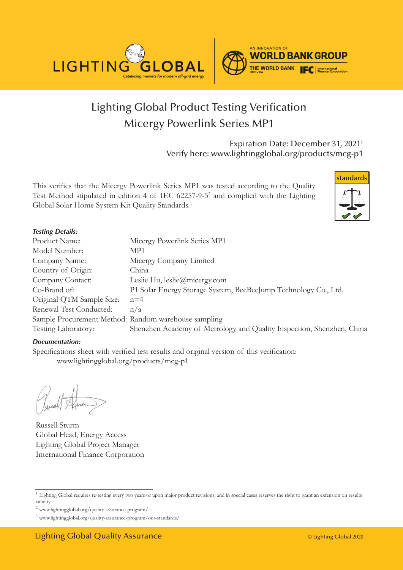

## Lighting Global Product Testing Verification Micergy Powerlink Series MP1

Expiration Date: December 31, 20211 Verify here: www.lightingglobal.org/products/mcg-p1

This verifies that the Micergy Powerlink Series MP1 was tested according to the Quality Test Method stipulated in edition 4 of IEC 62257-9-52 and complied with the Lighting Global Solar Home System Kit Quality Standards.<sup>3</sup>



#### *Testing Details:*

| Product Name:                                        | Micergy Powerlink Series MP1                                          |
|------------------------------------------------------|-----------------------------------------------------------------------|
| Model Number:                                        | MP1                                                                   |
| Company Name:                                        | Micergy Company Limited                                               |
| Country of Origin:                                   | China                                                                 |
| Company Contact:                                     | Leslie Hu, $leslie(\omega)$ micergy.com                               |
| Co-Brand of:                                         | P1 Solar Energy Storage System, BeeBeeJump Technology Co., Ltd.       |
| Original QTM Sample Size:                            | $n=4$                                                                 |
| Renewal Test Conducted:                              | n/a                                                                   |
| Sample Procurement Method: Random warehouse sampling |                                                                       |
| Testing Laboratory:                                  | Shenzhen Academy of Metrology and Quality Inspection, Shenzhen, China |

#### *Documentation:*

Specifications sheet with verified test results and original version of this verification: www.lightingglobal.org/products/mcg-p1

Russell Sturm Global Head, Energy Access Lighting Global Project Manager International Finance Corporation

<sup>&</sup>lt;sup>1</sup> Lighting Global requires re-testing every two years or upon major product revisions, and in special cases reserves the right to grant an extension on results validity.

 $^2$ www.lightingglobal.org/quality-assurance-program/  $\,$ 

<sup>3</sup> www.lightingglobal.org/quality-assurance-program/our-standards/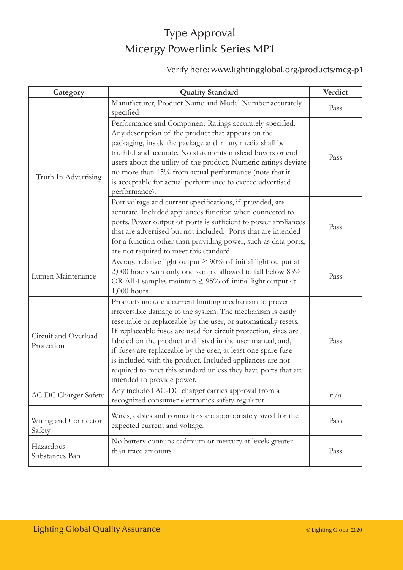## Type Approval Micergy Powerlink Series MP1

### Verify here: www.lightingglobal.org/products/mcg-p1

| Category                           | <b>Quality Standard</b>                                                                                                                                                                                                                                                                                                                                                                                                                                                                                                                                  | Verdict |
|------------------------------------|----------------------------------------------------------------------------------------------------------------------------------------------------------------------------------------------------------------------------------------------------------------------------------------------------------------------------------------------------------------------------------------------------------------------------------------------------------------------------------------------------------------------------------------------------------|---------|
| Truth In Advertising               | Manufacturer, Product Name and Model Number accurately<br>specified                                                                                                                                                                                                                                                                                                                                                                                                                                                                                      | Pass    |
|                                    | Performance and Component Ratings accurately specified.<br>Any description of the product that appears on the<br>packaging, inside the package and in any media shall be<br>truthful and accurate. No statements mislead buyers or end<br>users about the utility of the product. Numeric ratings deviate<br>no more than 15% from actual performance (note that it<br>is acceptable for actual performance to exceed advertised<br>performance).                                                                                                        | Pass    |
|                                    | Port voltage and current specifications, if provided, are<br>accurate. Included appliances function when connected to<br>ports. Power output of ports is sufficient to power appliances<br>that are advertised but not included. Ports that are intended<br>for a function other than providing power, such as data ports,<br>are not required to meet this standard.                                                                                                                                                                                    | Pass    |
| Lumen Maintenance                  | Average relative light output $\geq 90\%$ of initial light output at<br>2,000 hours with only one sample allowed to fall below 85%<br>OR All 4 samples maintain $\geq$ 95% of initial light output at<br>$1,000$ hours                                                                                                                                                                                                                                                                                                                                   | Pass    |
| Circuit and Overload<br>Protection | Products include a current limiting mechanism to prevent<br>irreversible damage to the system. The mechanism is easily<br>resettable or replaceable by the user, or automatically resets.<br>If replaceable fuses are used for circuit protection, sizes are<br>labeled on the product and listed in the user manual, and,<br>if fuses are replaceable by the user, at least one spare fuse<br>is included with the product. Included appliances are not<br>required to meet this standard unless they have ports that are<br>intended to provide power. | Pass    |
| <b>AC-DC Charger Safety</b>        | Any included AC-DC charger carries approval from a<br>recognized consumer electronics safety regulator                                                                                                                                                                                                                                                                                                                                                                                                                                                   | n/a     |
| Wiring and Connector<br>Safety     | Wires, cables and connectors are appropriately sized for the<br>expected current and voltage.                                                                                                                                                                                                                                                                                                                                                                                                                                                            | Pass    |
| Hazardous<br>Substances Ban        | No battery contains cadmium or mercury at levels greater<br>than trace amounts                                                                                                                                                                                                                                                                                                                                                                                                                                                                           | Pass    |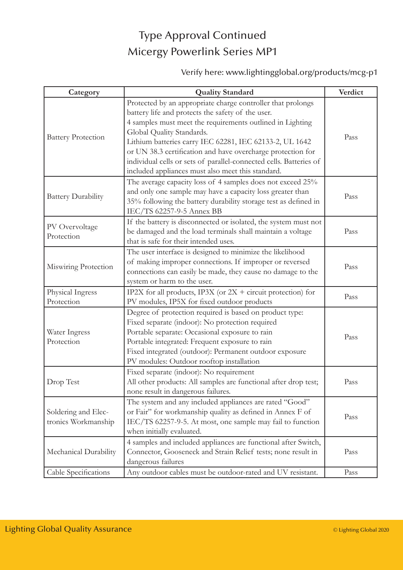# Type Approval Continued Micergy Powerlink Series MP1

### Verify here: www.lightingglobal.org/products/mcg-p1

| Category                                   | <b>Quality Standard</b>                                                                                                                                                                                                                                                                                                                                                                                                                                         | Verdict |
|--------------------------------------------|-----------------------------------------------------------------------------------------------------------------------------------------------------------------------------------------------------------------------------------------------------------------------------------------------------------------------------------------------------------------------------------------------------------------------------------------------------------------|---------|
| <b>Battery Protection</b>                  | Protected by an appropriate charge controller that prolongs<br>battery life and protects the safety of the user.<br>4 samples must meet the requirements outlined in Lighting<br>Global Quality Standards.<br>Lithium batteries carry IEC 62281, IEC 62133-2, UL 1642<br>or UN 38.3 certification and have overcharge protection for<br>individual cells or sets of parallel-connected cells. Batteries of<br>included appliances must also meet this standard. | Pass    |
| <b>Battery Durability</b>                  | The average capacity loss of 4 samples does not exceed 25%<br>and only one sample may have a capacity loss greater than<br>35% following the battery durability storage test as defined in<br>IEC/TS 62257-9-5 Annex BB                                                                                                                                                                                                                                         | Pass    |
| PV Overvoltage<br>Protection               | If the battery is disconnected or isolated, the system must not<br>be damaged and the load terminals shall maintain a voltage<br>that is safe for their intended uses.                                                                                                                                                                                                                                                                                          | Pass    |
| Miswiring Protection                       | The user interface is designed to minimize the likelihood<br>of making improper connections. If improper or reversed<br>connections can easily be made, they cause no damage to the<br>system or harm to the user.                                                                                                                                                                                                                                              | Pass    |
| Physical Ingress<br>Protection             | IP2X for all products, IP3X (or $2X +$ circuit protection) for<br>PV modules, IP5X for fixed outdoor products                                                                                                                                                                                                                                                                                                                                                   | Pass    |
| Water Ingress<br>Protection                | Degree of protection required is based on product type:<br>Fixed separate (indoor): No protection required<br>Portable separate: Occasional exposure to rain<br>Portable integrated: Frequent exposure to rain<br>Fixed integrated (outdoor): Permanent outdoor exposure<br>PV modules: Outdoor rooftop installation                                                                                                                                            | Pass    |
| Drop Test                                  | Fixed separate (indoor): No requirement<br>All other products: All samples are functional after drop test;<br>none result in dangerous failures.                                                                                                                                                                                                                                                                                                                | Pass    |
| Soldering and Elec-<br>tronics Workmanship | The system and any included appliances are rated "Good"<br>or Fair" for workmanship quality as defined in Annex F of<br>IEC/TS 62257-9-5. At most, one sample may fail to function<br>when initially evaluated.                                                                                                                                                                                                                                                 | Pass    |
| Mechanical Durability                      | 4 samples and included appliances are functional after Switch,<br>Connector, Gooseneck and Strain Relief tests; none result in<br>dangerous failures                                                                                                                                                                                                                                                                                                            | Pass    |
| Cable Specifications                       | Any outdoor cables must be outdoor-rated and UV resistant.                                                                                                                                                                                                                                                                                                                                                                                                      | Pass    |